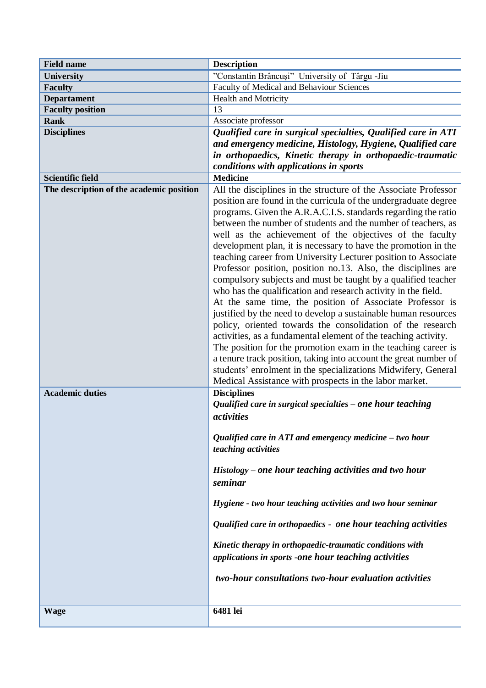| <b>Field name</b>                        | <b>Description</b>                                                                                                                                                                                                                                                                                                                                                                                                                                                                                                                                                                                                                                                                                                                                                                                                                                                                                                                                                                                                                                                                                                                                                                                     |
|------------------------------------------|--------------------------------------------------------------------------------------------------------------------------------------------------------------------------------------------------------------------------------------------------------------------------------------------------------------------------------------------------------------------------------------------------------------------------------------------------------------------------------------------------------------------------------------------------------------------------------------------------------------------------------------------------------------------------------------------------------------------------------------------------------------------------------------------------------------------------------------------------------------------------------------------------------------------------------------------------------------------------------------------------------------------------------------------------------------------------------------------------------------------------------------------------------------------------------------------------------|
| University                               | "Constantin Brâncuși" University of Târgu -Jiu                                                                                                                                                                                                                                                                                                                                                                                                                                                                                                                                                                                                                                                                                                                                                                                                                                                                                                                                                                                                                                                                                                                                                         |
| <b>Faculty</b>                           | Faculty of Medical and Behaviour Sciences                                                                                                                                                                                                                                                                                                                                                                                                                                                                                                                                                                                                                                                                                                                                                                                                                                                                                                                                                                                                                                                                                                                                                              |
| <b>Departament</b>                       | Health and Motricity                                                                                                                                                                                                                                                                                                                                                                                                                                                                                                                                                                                                                                                                                                                                                                                                                                                                                                                                                                                                                                                                                                                                                                                   |
| <b>Faculty position</b>                  | 13                                                                                                                                                                                                                                                                                                                                                                                                                                                                                                                                                                                                                                                                                                                                                                                                                                                                                                                                                                                                                                                                                                                                                                                                     |
| <b>Rank</b>                              | Associate professor                                                                                                                                                                                                                                                                                                                                                                                                                                                                                                                                                                                                                                                                                                                                                                                                                                                                                                                                                                                                                                                                                                                                                                                    |
| <b>Disciplines</b>                       | Qualified care in surgical specialties, Qualified care in ATI<br>and emergency medicine, Histology, Hygiene, Qualified care<br>in orthopaedics, Kinetic therapy in orthopaedic-traumatic<br>conditions with applications in sports                                                                                                                                                                                                                                                                                                                                                                                                                                                                                                                                                                                                                                                                                                                                                                                                                                                                                                                                                                     |
| <b>Scientific field</b>                  | <b>Medicine</b>                                                                                                                                                                                                                                                                                                                                                                                                                                                                                                                                                                                                                                                                                                                                                                                                                                                                                                                                                                                                                                                                                                                                                                                        |
| The description of the academic position | All the disciplines in the structure of the Associate Professor<br>position are found in the curricula of the undergraduate degree<br>programs. Given the A.R.A.C.I.S. standards regarding the ratio<br>between the number of students and the number of teachers, as<br>well as the achievement of the objectives of the faculty<br>development plan, it is necessary to have the promotion in the<br>teaching career from University Lecturer position to Associate<br>Professor position, position no.13. Also, the disciplines are<br>compulsory subjects and must be taught by a qualified teacher<br>who has the qualification and research activity in the field.<br>At the same time, the position of Associate Professor is<br>justified by the need to develop a sustainable human resources<br>policy, oriented towards the consolidation of the research<br>activities, as a fundamental element of the teaching activity.<br>The position for the promotion exam in the teaching career is<br>a tenure track position, taking into account the great number of<br>students' enrolment in the specializations Midwifery, General<br>Medical Assistance with prospects in the labor market. |
| <b>Academic duties</b>                   | <b>Disciplines</b><br>Qualified care in surgical specialties $-\overline{o}$ ne hour teaching<br>activities<br>Qualified care in ATI and emergency medicine $-$ two hour<br>teaching activities<br>Histology – one hour teaching activities and two hour<br>seminar<br>Hygiene - two hour teaching activities and two hour seminar<br>Qualified care in orthopaedics - one hour teaching activities<br>Kinetic therapy in orthopaedic-traumatic conditions with<br>applications in sports -one hour teaching activities<br>two-hour consultations two-hour evaluation activities                                                                                                                                                                                                                                                                                                                                                                                                                                                                                                                                                                                                                       |
| <b>Wage</b>                              | 6481 lei                                                                                                                                                                                                                                                                                                                                                                                                                                                                                                                                                                                                                                                                                                                                                                                                                                                                                                                                                                                                                                                                                                                                                                                               |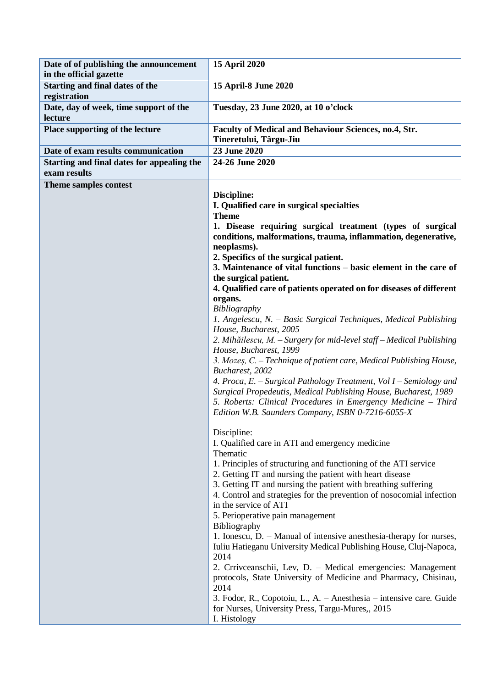| Date of of publishing the announcement<br>in the official gazette | 15 April 2020                                                                                                                                                                                                                                               |
|-------------------------------------------------------------------|-------------------------------------------------------------------------------------------------------------------------------------------------------------------------------------------------------------------------------------------------------------|
| Starting and final dates of the<br>registration                   | 15 April-8 June 2020                                                                                                                                                                                                                                        |
| Date, day of week, time support of the<br>lecture                 | Tuesday, 23 June 2020, at 10 o'clock                                                                                                                                                                                                                        |
| Place supporting of the lecture                                   | <b>Faculty of Medical and Behaviour Sciences, no.4, Str.</b><br>Tineretului, Târgu-Jiu                                                                                                                                                                      |
| Date of exam results communication                                | 23 June 2020                                                                                                                                                                                                                                                |
| Starting and final dates for appealing the<br>exam results        | 24-26 June 2020                                                                                                                                                                                                                                             |
| Theme samples contest                                             |                                                                                                                                                                                                                                                             |
|                                                                   | Discipline:                                                                                                                                                                                                                                                 |
|                                                                   | I. Qualified care in surgical specialties                                                                                                                                                                                                                   |
|                                                                   | <b>Theme</b>                                                                                                                                                                                                                                                |
|                                                                   | 1. Disease requiring surgical treatment (types of surgical                                                                                                                                                                                                  |
|                                                                   | conditions, malformations, trauma, inflammation, degenerative,                                                                                                                                                                                              |
|                                                                   | neoplasms).                                                                                                                                                                                                                                                 |
|                                                                   | 2. Specifics of the surgical patient.                                                                                                                                                                                                                       |
|                                                                   | 3. Maintenance of vital functions – basic element in the care of<br>the surgical patient.                                                                                                                                                                   |
|                                                                   | 4. Qualified care of patients operated on for diseases of different                                                                                                                                                                                         |
|                                                                   | organs.                                                                                                                                                                                                                                                     |
|                                                                   | Bibliography                                                                                                                                                                                                                                                |
|                                                                   | 1. Angelescu, N. – Basic Surgical Techniques, Medical Publishing                                                                                                                                                                                            |
|                                                                   | House, Bucharest, 2005                                                                                                                                                                                                                                      |
|                                                                   | 2. Mihăilescu, M. – Surgery for mid-level staff – Medical Publishing                                                                                                                                                                                        |
|                                                                   | House, Bucharest, 1999                                                                                                                                                                                                                                      |
|                                                                   | 3. Mozeș, C. - Technique of patient care, Medical Publishing House,                                                                                                                                                                                         |
|                                                                   | Bucharest, 2002                                                                                                                                                                                                                                             |
|                                                                   | 4. Proca, E. – Surgical Pathology Treatment, Vol I – Semiology and<br>Surgical Propedeutis, Medical Publishing House, Bucharest, 1989<br>5. Roberts: Clinical Procedures in Emergency Medicine - Third<br>Edition W.B. Saunders Company, ISBN 0-7216-6055-X |
|                                                                   | Discipline:                                                                                                                                                                                                                                                 |
|                                                                   | I. Qualified care in ATI and emergency medicine                                                                                                                                                                                                             |
|                                                                   | Thematic                                                                                                                                                                                                                                                    |
|                                                                   | 1. Principles of structuring and functioning of the ATI service                                                                                                                                                                                             |
|                                                                   | 2. Getting IT and nursing the patient with heart disease                                                                                                                                                                                                    |
|                                                                   | 3. Getting IT and nursing the patient with breathing suffering                                                                                                                                                                                              |
|                                                                   | 4. Control and strategies for the prevention of nosocomial infection                                                                                                                                                                                        |
|                                                                   | in the service of ATI                                                                                                                                                                                                                                       |
|                                                                   | 5. Perioperative pain management                                                                                                                                                                                                                            |
|                                                                   | Bibliography                                                                                                                                                                                                                                                |
|                                                                   | 1. Ionescu, D. – Manual of intensive anesthesia-therapy for nurses,                                                                                                                                                                                         |
|                                                                   | Iuliu Hatieganu University Medical Publishing House, Cluj-Napoca,                                                                                                                                                                                           |
|                                                                   | 2014                                                                                                                                                                                                                                                        |
|                                                                   | 2. Crriveeanschii, Lev, D. – Medical emergencies: Management<br>protocols, State University of Medicine and Pharmacy, Chisinau,<br>2014                                                                                                                     |
|                                                                   | 3. Fodor, R., Copotoiu, L., A. – Anesthesia – intensive care. Guide<br>for Nurses, University Press, Targu-Mures,, 2015<br>I. Histology                                                                                                                     |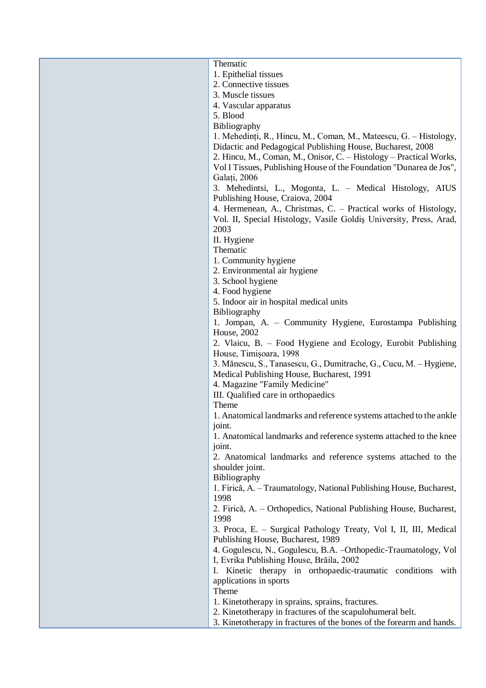| Thematic                                                                                           |
|----------------------------------------------------------------------------------------------------|
| 1. Epithelial tissues                                                                              |
| 2. Connective tissues                                                                              |
| 3. Muscle tissues                                                                                  |
| 4. Vascular apparatus                                                                              |
| 5. Blood                                                                                           |
| Bibliography                                                                                       |
|                                                                                                    |
| 1. Mehedinți, R., Hincu, M., Coman, M., Mateescu, G. – Histology,                                  |
| Didactic and Pedagogical Publishing House, Bucharest, 2008                                         |
| 2. Hincu, M., Coman, M., Onisor, C. - Histology - Practical Works,                                 |
| Vol I Tissues, Publishing House of the Foundation "Dunarea de Jos",<br>Galați, 2006                |
|                                                                                                    |
| 3. Mehedintsi, L., Mogonta, L. - Medical Histology, AIUS                                           |
| Publishing House, Craiova, 2004<br>4. Hermenean, A., Christmas, C. - Practical works of Histology, |
| Vol. II, Special Histology, Vasile Goldis University, Press, Arad,                                 |
| 2003                                                                                               |
|                                                                                                    |
| II. Hygiene<br>Thematic                                                                            |
| 1. Community hygiene                                                                               |
| 2. Environmental air hygiene                                                                       |
| 3. School hygiene                                                                                  |
| 4. Food hygiene                                                                                    |
| 5. Indoor air in hospital medical units                                                            |
| Bibliography                                                                                       |
| 1. Jompan, A. – Community Hygiene, Eurostampa Publishing                                           |
| <b>House</b> , 2002                                                                                |
| 2. Vlaicu, B. – Food Hygiene and Ecology, Eurobit Publishing                                       |
| House, Timișoara, 1998                                                                             |
| 3. Mănescu, S., Tanasescu, G., Dumitrache, G., Cucu, M. - Hygiene,                                 |
| Medical Publishing House, Bucharest, 1991                                                          |
| 4. Magazine "Family Medicine"                                                                      |
| III. Qualified care in orthopaedics                                                                |
| Theme                                                                                              |
| 1. Anatomical landmarks and reference systems attached to the ankle                                |
| joint.                                                                                             |
| 1. Anatomical landmarks and reference systems attached to the knee                                 |
| joint.                                                                                             |
| 2. Anatomical landmarks and reference systems attached to the                                      |
| shoulder joint.                                                                                    |
| Bibliography                                                                                       |
| 1. Firică, A. – Traumatology, National Publishing House, Bucharest,                                |
| 1998                                                                                               |
| 2. Firică, A. – Orthopedics, National Publishing House, Bucharest,                                 |
| 1998                                                                                               |
| 3. Proca, E. – Surgical Pathology Treaty, Vol I, II, III, Medical                                  |
| Publishing House, Bucharest, 1989                                                                  |
| 4. Gogulescu, N., Gogulescu, B.A. - Orthopedic-Traumatology, Vol                                   |
| I, Evrika Publishing House, Brăila, 2002                                                           |
| Kinetic therapy in orthopaedic-traumatic conditions with<br>Ι.                                     |
| applications in sports                                                                             |
| Theme                                                                                              |
| 1. Kinetotherapy in sprains, sprains, fractures.                                                   |
| 2. Kinetotherapy in fractures of the scapulohumeral belt.                                          |
| 3. Kinetotherapy in fractures of the bones of the forearm and hands.                               |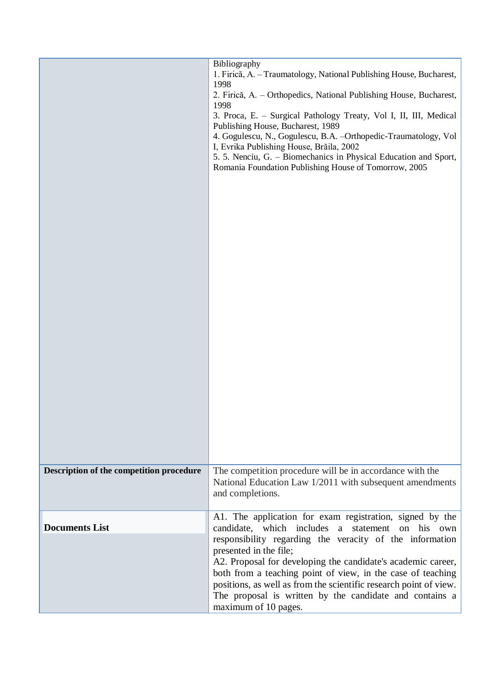|                                          | Bibliography<br>1. Firică, A. - Traumatology, National Publishing House, Bucharest,<br>1998<br>2. Firică, A. – Orthopedics, National Publishing House, Bucharest,<br>1998<br>3. Proca, E. - Surgical Pathology Treaty, Vol I, II, III, Medical<br>Publishing House, Bucharest, 1989<br>4. Gogulescu, N., Gogulescu, B.A. - Orthopedic-Traumatology, Vol<br>I, Evrika Publishing House, Brăila, 2002<br>5. 5. Nenciu, G. – Biomechanics in Physical Education and Sport,<br>Romania Foundation Publishing House of Tomorrow, 2005 |
|------------------------------------------|----------------------------------------------------------------------------------------------------------------------------------------------------------------------------------------------------------------------------------------------------------------------------------------------------------------------------------------------------------------------------------------------------------------------------------------------------------------------------------------------------------------------------------|
| Description of the competition procedure | The competition procedure will be in accordance with the<br>National Education Law 1/2011 with subsequent amendments<br>and completions.                                                                                                                                                                                                                                                                                                                                                                                         |
| <b>Documents List</b>                    | A1. The application for exam registration, signed by the<br>candidate, which includes<br>statement<br>on his own<br>a<br>responsibility regarding the veracity of the information<br>presented in the file;<br>A2. Proposal for developing the candidate's academic career,<br>both from a teaching point of view, in the case of teaching<br>positions, as well as from the scientific research point of view.<br>The proposal is written by the candidate and contains a<br>maximum of 10 pages.                               |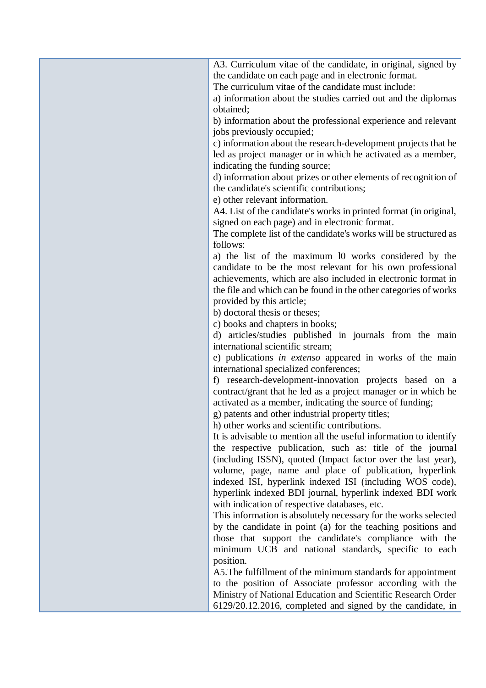| A3. Curriculum vitae of the candidate, in original, signed by       |
|---------------------------------------------------------------------|
| the candidate on each page and in electronic format.                |
| The curriculum vitae of the candidate must include:                 |
| a) information about the studies carried out and the diplomas       |
| obtained;                                                           |
| b) information about the professional experience and relevant       |
| jobs previously occupied;                                           |
| c) information about the research-development projects that he      |
| led as project manager or in which he activated as a member,        |
| indicating the funding source;                                      |
| d) information about prizes or other elements of recognition of     |
| the candidate's scientific contributions;                           |
| e) other relevant information.                                      |
| A4. List of the candidate's works in printed format (in original,   |
| signed on each page) and in electronic format.                      |
| The complete list of the candidate's works will be structured as    |
| follows:                                                            |
| a) the list of the maximum 10 works considered by the               |
| candidate to be the most relevant for his own professional          |
| achievements, which are also included in electronic format in       |
| the file and which can be found in the other categories of works    |
| provided by this article;                                           |
| b) doctoral thesis or theses;                                       |
| c) books and chapters in books;                                     |
| d) articles/studies published in journals from the main             |
| international scientific stream;                                    |
| e) publications in extenso appeared in works of the main            |
| international specialized conferences;                              |
| research-development-innovation projects based on a<br>$\mathbf{f}$ |
| contract/grant that he led as a project manager or in which he      |
| activated as a member, indicating the source of funding;            |
| g) patents and other industrial property titles;                    |
| h) other works and scientific contributions.                        |
| It is advisable to mention all the useful information to identify   |
| the respective publication, such as: title of the journal           |
| (including ISSN), quoted (Impact factor over the last year),        |
| volume, page, name and place of publication, hyperlink              |
| indexed ISI, hyperlink indexed ISI (including WOS code),            |
| hyperlink indexed BDI journal, hyperlink indexed BDI work           |
| with indication of respective databases, etc.                       |
| This information is absolutely necessary for the works selected     |
| by the candidate in point (a) for the teaching positions and        |
| those that support the candidate's compliance with the              |
| minimum UCB and national standards, specific to each                |
| position.                                                           |
| A5. The fulfillment of the minimum standards for appointment        |
| to the position of Associate professor according with the           |
| Ministry of National Education and Scientific Research Order        |
| 6129/20.12.2016, completed and signed by the candidate, in          |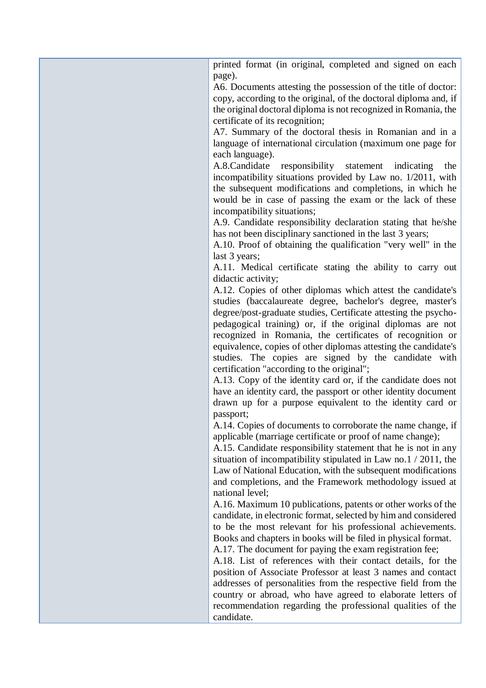| printed format (in original, completed and signed on each<br>page).                                                               |
|-----------------------------------------------------------------------------------------------------------------------------------|
| A6. Documents attesting the possession of the title of doctor:                                                                    |
| copy, according to the original, of the doctoral diploma and, if                                                                  |
| the original doctoral diploma is not recognized in Romania, the                                                                   |
| certificate of its recognition;                                                                                                   |
| A7. Summary of the doctoral thesis in Romanian and in a                                                                           |
| language of international circulation (maximum one page for                                                                       |
| each language).                                                                                                                   |
| A.8.Candidate<br>responsibility statement indicating<br>the                                                                       |
| incompatibility situations provided by Law no. 1/2011, with                                                                       |
| the subsequent modifications and completions, in which he                                                                         |
| would be in case of passing the exam or the lack of these                                                                         |
| incompatibility situations;                                                                                                       |
| A.9. Candidate responsibility declaration stating that he/she                                                                     |
| has not been disciplinary sanctioned in the last 3 years;                                                                         |
| A.10. Proof of obtaining the qualification "very well" in the                                                                     |
| last 3 years;                                                                                                                     |
| A.11. Medical certificate stating the ability to carry out                                                                        |
| didactic activity;                                                                                                                |
| A.12. Copies of other diplomas which attest the candidate's                                                                       |
| studies (baccalaureate degree, bachelor's degree, master's                                                                        |
| degree/post-graduate studies, Certificate attesting the psycho-                                                                   |
| pedagogical training) or, if the original diplomas are not                                                                        |
| recognized in Romania, the certificates of recognition or                                                                         |
| equivalence, copies of other diplomas attesting the candidate's                                                                   |
| studies. The copies are signed by the candidate with                                                                              |
| certification "according to the original";                                                                                        |
| A.13. Copy of the identity card or, if the candidate does not                                                                     |
| have an identity card, the passport or other identity document                                                                    |
| drawn up for a purpose equivalent to the identity card or                                                                         |
| passport;                                                                                                                         |
| A.14. Copies of documents to corroborate the name change, if                                                                      |
| applicable (marriage certificate or proof of name change);                                                                        |
| A.15. Candidate responsibility statement that he is not in any                                                                    |
| situation of incompatibility stipulated in Law no.1 $/$ 2011, the<br>Law of National Education, with the subsequent modifications |
| and completions, and the Framework methodology issued at                                                                          |
| national level;                                                                                                                   |
| A.16. Maximum 10 publications, patents or other works of the                                                                      |
| candidate, in electronic format, selected by him and considered                                                                   |
| to be the most relevant for his professional achievements.                                                                        |
| Books and chapters in books will be filed in physical format.                                                                     |
| A.17. The document for paying the exam registration fee;                                                                          |
| A.18. List of references with their contact details, for the                                                                      |
| position of Associate Professor at least 3 names and contact                                                                      |
| addresses of personalities from the respective field from the                                                                     |
| country or abroad, who have agreed to elaborate letters of                                                                        |
| recommendation regarding the professional qualities of the                                                                        |
| candidate.                                                                                                                        |